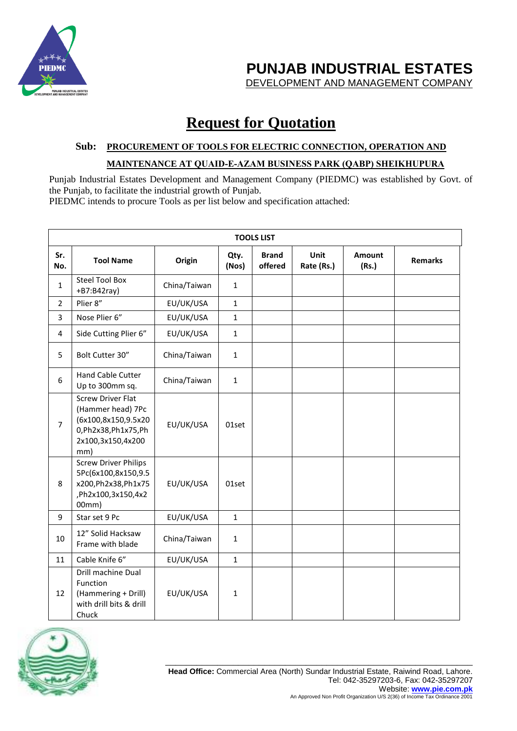

**PUNJAB INDUSTRIAL ESTATES**

DEVELOPMENT AND MANAGEMENT COMPANY

# **Request for Quotation**

#### **Sub: PROCUREMENT OF TOOLS FOR ELECTRIC CONNECTION, OPERATION AND**

### **MAINTENANCE AT QUAID-E-AZAM BUSINESS PARK (QABP) SHEIKHUPURA**

Punjab Industrial Estates Development and Management Company (PIEDMC) was established by Govt. of the Punjab, to facilitate the industrial growth of Punjab.

PIEDMC intends to procure Tools as per list below and specification attached:

| <b>TOOLS LIST</b> |                                                                                                                           |              |               |                         |                    |                 |                |  |
|-------------------|---------------------------------------------------------------------------------------------------------------------------|--------------|---------------|-------------------------|--------------------|-----------------|----------------|--|
| Sr.<br>No.        | <b>Tool Name</b>                                                                                                          | Origin       | Qty.<br>(Nos) | <b>Brand</b><br>offered | Unit<br>Rate (Rs.) | Amount<br>(Rs.) | <b>Remarks</b> |  |
| $\mathbf{1}$      | <b>Steel Tool Box</b><br>+B7:B42ray)                                                                                      | China/Taiwan | $\mathbf{1}$  |                         |                    |                 |                |  |
| $\overline{2}$    | Plier 8"                                                                                                                  | EU/UK/USA    | $\mathbf{1}$  |                         |                    |                 |                |  |
| 3                 | Nose Plier 6"                                                                                                             | EU/UK/USA    | $\mathbf{1}$  |                         |                    |                 |                |  |
| $\overline{4}$    | Side Cutting Plier 6"                                                                                                     | EU/UK/USA    | $\mathbf{1}$  |                         |                    |                 |                |  |
| 5                 | Bolt Cutter 30"                                                                                                           | China/Taiwan | $\mathbf{1}$  |                         |                    |                 |                |  |
| 6                 | <b>Hand Cable Cutter</b><br>Up to 300mm sq.                                                                               | China/Taiwan | $\mathbf{1}$  |                         |                    |                 |                |  |
| $\overline{7}$    | <b>Screw Driver Flat</b><br>(Hammer head) 7Pc<br>(6x100,8x150,9.5x20<br>0, Ph2x38, Ph1x75, Ph<br>2x100,3x150,4x200<br>mm) | EU/UK/USA    | 01set         |                         |                    |                 |                |  |
| 8                 | <b>Screw Driver Philips</b><br>5Pc(6x100,8x150,9.5<br>x200, Ph2x38, Ph1x75<br>Ph2x100,3x150,4x2<br>00mm)                  | EU/UK/USA    | 01set         |                         |                    |                 |                |  |
| 9                 | Star set 9 Pc                                                                                                             | EU/UK/USA    | $\mathbf{1}$  |                         |                    |                 |                |  |
| 10                | 12" Solid Hacksaw<br>Frame with blade                                                                                     | China/Taiwan | $\mathbf{1}$  |                         |                    |                 |                |  |
| 11                | Cable Knife 6"                                                                                                            | EU/UK/USA    | $\mathbf{1}$  |                         |                    |                 |                |  |
| 12                | Drill machine Dual<br>Function<br>(Hammering + Drill)<br>with drill bits & drill<br>Chuck                                 | EU/UK/USA    | 1             |                         |                    |                 |                |  |

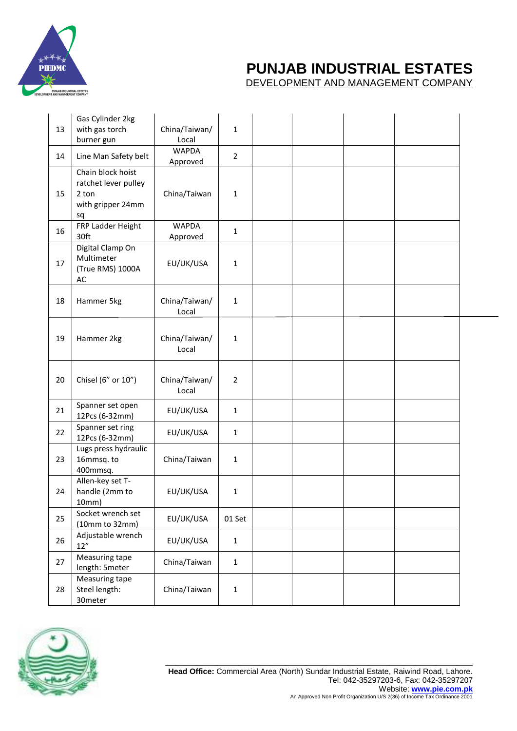

## **PUNJAB INDUSTRIAL ESTATES**

DEVELOPMENT AND MANAGEMENT COMPANY

| 13 | Gas Cylinder 2kg<br>with gas torch<br>burner gun                              | China/Taiwan/<br>Local   | $\mathbf{1}$   |  |  |  |
|----|-------------------------------------------------------------------------------|--------------------------|----------------|--|--|--|
| 14 | Line Man Safety belt                                                          | <b>WAPDA</b><br>Approved | $\overline{2}$ |  |  |  |
| 15 | Chain block hoist<br>ratchet lever pulley<br>2 ton<br>with gripper 24mm<br>sq | China/Taiwan             | $\mathbf 1$    |  |  |  |
| 16 | FRP Ladder Height<br>30ft                                                     | <b>WAPDA</b><br>Approved | $\mathbf{1}$   |  |  |  |
| 17 | Digital Clamp On<br>Multimeter<br>(True RMS) 1000A<br>AC                      | EU/UK/USA                | 1              |  |  |  |
| 18 | Hammer 5kg                                                                    | China/Taiwan/<br>Local   | $\mathbf{1}$   |  |  |  |
| 19 | Hammer 2kg                                                                    | China/Taiwan/<br>Local   | 1              |  |  |  |
| 20 | Chisel (6" or 10")                                                            | China/Taiwan/<br>Local   | $\overline{2}$ |  |  |  |
| 21 | Spanner set open<br>12Pcs (6-32mm)                                            | EU/UK/USA                | $\mathbf{1}$   |  |  |  |
| 22 | Spanner set ring<br>12Pcs (6-32mm)                                            | EU/UK/USA                | $\mathbf{1}$   |  |  |  |
| 23 | Lugs press hydraulic<br>16mmsq.to<br>400mmsq.                                 | China/Taiwan             | $\mathbf 1$    |  |  |  |
| 24 | Allen-key set T-<br>handle (2mm to<br>10mm)                                   | EU/UK/USA                | 1              |  |  |  |
| 25 | Socket wrench set<br>(10mm to 32mm)                                           | EU/UK/USA                | 01 Set         |  |  |  |
| 26 | Adjustable wrench<br>12"                                                      | EU/UK/USA                | $\mathbf 1$    |  |  |  |
| 27 | Measuring tape<br>length: 5meter                                              | China/Taiwan             | $\mathbf{1}$   |  |  |  |
| 28 | Measuring tape<br>Steel length:<br>30meter                                    | China/Taiwan             | $\mathbf 1$    |  |  |  |

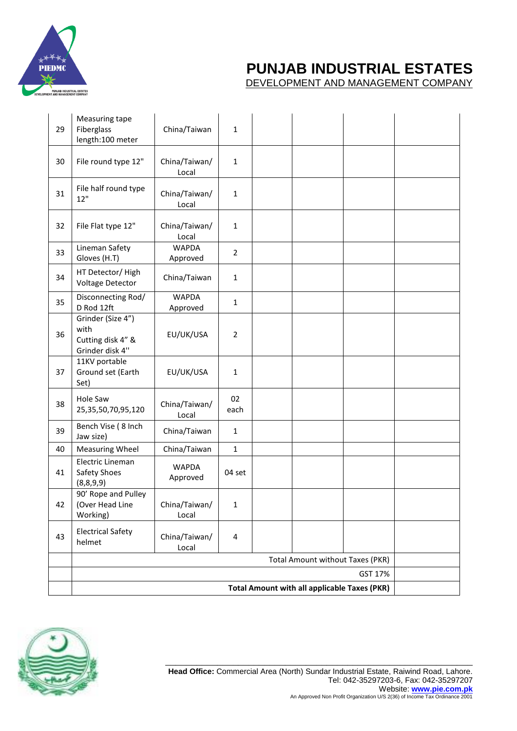

## **PUNJAB INDUSTRIAL ESTATES**

DEVELOPMENT AND MANAGEMENT COMPANY

| 29 | Measuring tape<br>Fiberglass<br>length:100 meter                  | China/Taiwan             | $\mathbf{1}$   |  |  |  |  |
|----|-------------------------------------------------------------------|--------------------------|----------------|--|--|--|--|
| 30 | File round type 12"                                               | China/Taiwan/<br>Local   | $\mathbf{1}$   |  |  |  |  |
| 31 | File half round type<br>12"                                       | China/Taiwan/<br>Local   | $\mathbf{1}$   |  |  |  |  |
| 32 | File Flat type 12"                                                | China/Taiwan/<br>Local   | $\mathbf{1}$   |  |  |  |  |
| 33 | Lineman Safety<br>Gloves (H.T)                                    | <b>WAPDA</b><br>Approved | $\overline{2}$ |  |  |  |  |
| 34 | HT Detector/High<br>Voltage Detector                              | China/Taiwan             | $\mathbf{1}$   |  |  |  |  |
| 35 | Disconnecting Rod/<br>D Rod 12ft                                  | <b>WAPDA</b><br>Approved | $\mathbf{1}$   |  |  |  |  |
| 36 | Grinder (Size 4")<br>with<br>Cutting disk 4" &<br>Grinder disk 4" | EU/UK/USA                | $\overline{2}$ |  |  |  |  |
| 37 | 11KV portable<br>Ground set (Earth<br>Set)                        | EU/UK/USA                | $\mathbf{1}$   |  |  |  |  |
| 38 | Hole Saw<br>25,35,50,70,95,120                                    | China/Taiwan/<br>Local   | 02<br>each     |  |  |  |  |
| 39 | Bench Vise (8 Inch<br>Jaw size)                                   | China/Taiwan             | $\mathbf{1}$   |  |  |  |  |
| 40 | <b>Measuring Wheel</b>                                            | China/Taiwan             | $\mathbf{1}$   |  |  |  |  |
| 41 | Electric Lineman<br>Safety Shoes<br>(8, 8, 9, 9)                  | <b>WAPDA</b><br>Approved | 04 set         |  |  |  |  |
| 42 | 90' Rope and Pulley<br>(Over Head Line<br>Working)                | China/Taiwan/<br>Local   | $\mathbf{1}$   |  |  |  |  |
| 43 | <b>Electrical Safety</b><br>helmet                                | China/Taiwan/<br>Local   | 4              |  |  |  |  |
|    | <b>Total Amount without Taxes (PKR)</b>                           |                          |                |  |  |  |  |
|    | GST 17%                                                           |                          |                |  |  |  |  |
|    | <b>Total Amount with all applicable Taxes (PKR)</b>               |                          |                |  |  |  |  |